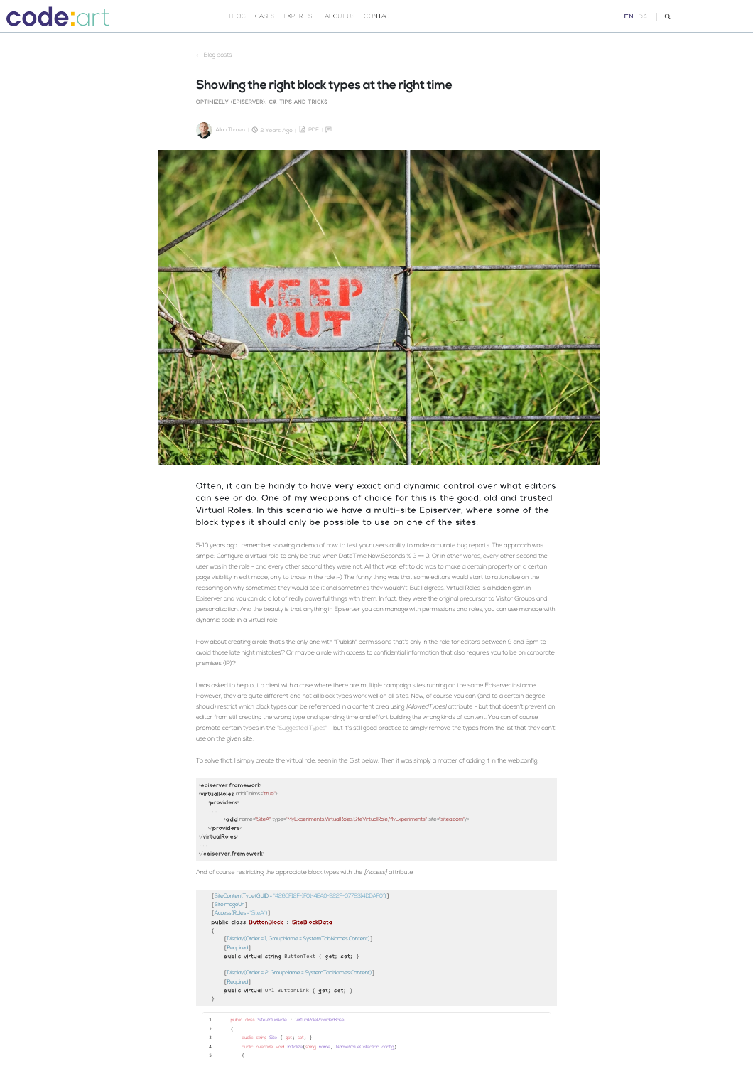← [Blog posts](https://www.codeart.dk/blog)

## **Showing the right block types at the right time**

[OPTIMIZELY \(EPISERVER\),](https://www.codeart.dk/tags/episerver/) [C#,](https://www.codeart.dk/tags2/c/) [TIPS AND TRICKS](https://www.codeart.dk/tags2/tips-and-tricks/)

[Allan Thraen](https://www.codeart.dk/team/allan-thraen/) |  $\circled{0}$  2 Years Ago |  $\circled{P}$  [PDF](https://contentservices.io/screenshot/1.0/pdf/?url=https%3A%2F%2Fwww.codeart.dk%2Fblog%2F2020%2F5%2Fshowing-the-right-block-types%2F) |  $\boxdot$ 



## Often, it can be handy to have very exact and dynamic control over what editors can see or do. One of my weapons of choice for this is the good, old and trusted Virtual Roles. In this scenario we have a multi-site Episerver, where some of the block types it should only be possible to use on one of the sites.

5-10 years ago I remember showing a demo of how to test your users ability to make accurate bug reports. The approach was simple: Configure a virtual role to only be true when DateTime.Now.Seconds % 2 == 0. Or in other words, every other second the user was in the role - and every other second they were not. All that was left to do was to make a certain property on a certain page visibility in edit mode, only to those in the role :-) The funny thing was that some editors would start to rationalize on the reasoning on why sometimes they would see it and sometimes they wouldn't. But I digress. Virtual Roles is a hidden gem in Episerver and you can do a lot of really powerful things with them. In fact, they were the original precursor to Visitor Groups and personalization. And the beauty is that anything in Episerver you can manage with permissions and roles, you can use manage with dynamic code in a virtual role.

How about creating a role that's the only one with "Publish" permissions that's only in the role for editors between 9 and 3pm to avoid those late night mistakes? Or maybe a role with access to confidential information that also requires you to be on corporate premises (IP)?

I was asked to help out a client with a case where there are multiple campaign sites running on the same Episerver instance. However, they are quite different and not all block types work well on all sites. Now, of course you can (and to a certain degree should) restrict which block types can be referenced in a content area using [AllowedTypes] attribute - but that doesn't prevent an editor from still creating the wrong type and spending time and effort building the wrong kinds of content. You can of course promote certain types in the ["Suggested Types"](https://www.codeart.dk/blog/2018/10/admin-mode-plugin-to-manage-content-type-suggestions/) - but it's still good practice to simply remove the types from the list that they can't use on the given site.

To solve that, I simply create the virtual role, seen in the Gist below. Then it was simply a matter of adding it in the web.config.

| <episerver.framework><br/><virtualroles addclaims="true"><br/>providers</virtualroles></episerver.framework>                  |
|-------------------------------------------------------------------------------------------------------------------------------|
| $\cdots$<br><add name="SiteA" site="sitea.com" type="MyExperiments.VirtualRoles.SiteVirtualRole,MyExperiments"></add><br><br> |
| $\cdots$<br>                                                                                                                  |
| .                                                                                                                             |

and of course restricting the appropiate block types with the [Access] attribute

|                | [SiteContentType(GUID = "426CFI2F-IF01-4EA0-922F-07783I4DDAF0")]<br>[SitelmageUrl] |
|----------------|------------------------------------------------------------------------------------|
|                | [Access(Roles ="SiteA")]                                                           |
|                | public class ButtonBlock : SiteBlockData                                           |
|                |                                                                                    |
|                | [Display(Order = 1, GroupName = SystemTabNames.Content)]                           |
|                | [Required]                                                                         |
|                | public virtual string ButtonText { get; set; }                                     |
|                | [Display(Order = 2, GroupName = SystemTabNames.Content)]                           |
|                | [Required]                                                                         |
|                | public virtual Url ButtonLink { get; set; }                                        |
| }              |                                                                                    |
|                |                                                                                    |
| 1              | public dass SiteVirtualRole : VirtualRoleProviderBase                              |
| $\overline{2}$ | ſ                                                                                  |
| 3              | public string Site { get; set; }                                                   |
| 4              | public override void Initialize(string name, NameValueCollection config)           |
| 5              |                                                                                    |
|                |                                                                                    |